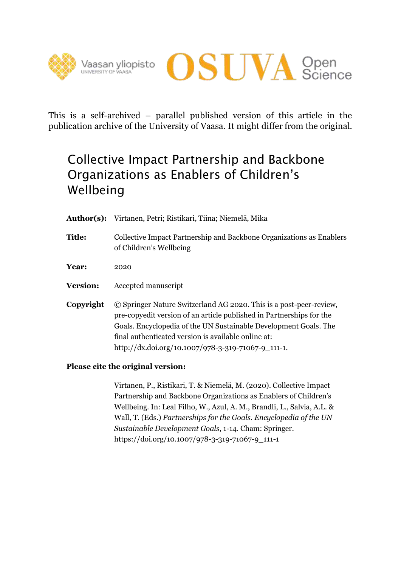



This is a self-archived – parallel published version of this article in the publication archive of the University of Vaasa. It might differ from the original.

# Collective Impact Partnership and Backbone Organizations as Enablers of Children's Wellbeing

- **Author(s):** Virtanen, Petri; Ristikari, Tiina; Niemelä, Mika
- **Title:** Collective Impact Partnership and Backbone Organizations as Enablers of Children's Wellbeing
- **Year:** 2020
- **Version:** Accepted manuscript
- **Copyright** © Springer Nature Switzerland AG 2020. This is a post-peer-review, pre-copyedit version of an article published in Partnerships for the Goals. Encyclopedia of the UN Sustainable Development Goals. The final authenticated version is available online at: http://dx.doi.org/10.1007/978-3-319-71067-9\_111-1.

# **Please cite the original version:**

Virtanen, P., Ristikari, T. & Niemelä, M. (2020). Collective Impact Partnership and Backbone Organizations as Enablers of Children's Wellbeing. In: Leal Filho, W., Azul, A. M., Brandli, L., Salvia, A.L. & Wall, T. (Eds.) *Partnerships for the Goals. Encyclopedia of the UN Sustainable Development Goals*, 1-14. Cham: Springer. https://doi.org/10.1007/978-3-319-71067-9\_111-1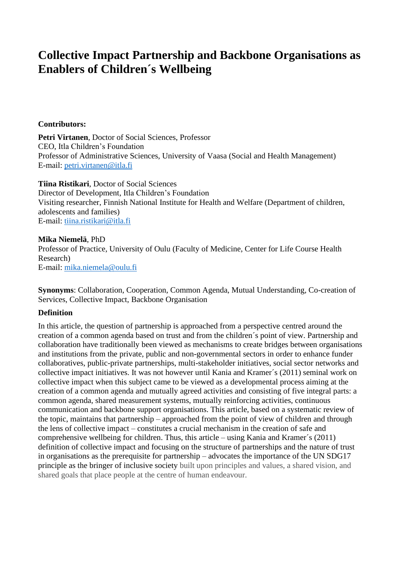# **Collective Impact Partnership and Backbone Organisations as Enablers of Children´s Wellbeing**

# **Contributors:**

**Petri Virtanen**, Doctor of Social Sciences, Professor CEO, Itla Children's Foundation Professor of Administrative Sciences, University of Vaasa (Social and Health Management) E-mail: [petri.virtanen@itla.fi](mailto:petri.virtanen@itla.fi)

**Tiina Ristikari**, Doctor of Social Sciences Director of Development, Itla Children's Foundation Visiting researcher, Finnish National Institute for Health and Welfare (Department of children, adolescents and families) E-mail: [tiina.ristikari@itla.fi](mailto:tiina.ristikari@itla.fi)

#### **Mika Niemelä**, PhD

Professor of Practice, University of Oulu (Faculty of Medicine, Center for Life Course Health Research) E-mail: [mika.niemela@oulu.fi](mailto:mika.niemela@oulu.fi)

**Synonyms**: Collaboration, Cooperation, Common Agenda, Mutual Understanding, Co-creation of Services, Collective Impact, Backbone Organisation

#### **Definition**

In this article, the question of partnership is approached from a perspective centred around the creation of a common agenda based on trust and from the children´s point of view. Partnership and collaboration have traditionally been viewed as mechanisms to create bridges between organisations and institutions from the private, public and non-governmental sectors in order to enhance funder collaboratives, public-private partnerships, multi-stakeholder initiatives, social sector networks and collective impact initiatives. It was not however until Kania and Kramer´s (2011) seminal work on collective impact when this subject came to be viewed as a developmental process aiming at the creation of a common agenda and mutually agreed activities and consisting of five integral parts: a common agenda, shared measurement systems, mutually reinforcing activities, continuous communication and backbone support organisations. This article, based on a systematic review of the topic, maintains that partnership – approached from the point of view of children and through the lens of collective impact – constitutes a crucial mechanism in the creation of safe and comprehensive wellbeing for children. Thus, this article – using Kania and Kramer´s (2011) definition of collective impact and focusing on the structure of partnerships and the nature of trust in organisations as the prerequisite for partnership – advocates the importance of the UN SDG17 principle as the bringer of inclusive society built upon principles and values, a shared vision, and shared goals that place people at the centre of human endeavour.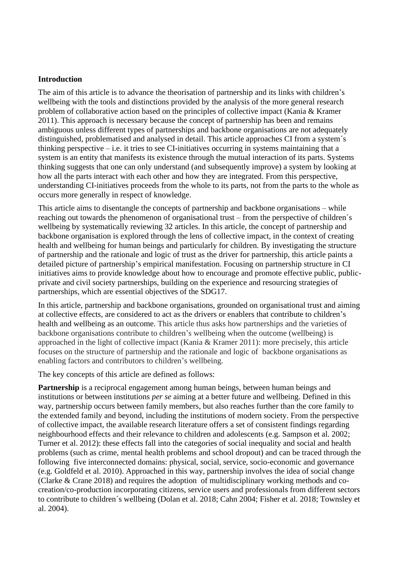#### **Introduction**

The aim of this article is to advance the theorisation of partnership and its links with children's wellbeing with the tools and distinctions provided by the analysis of the more general research problem of collaborative action based on the principles of collective impact (Kania & Kramer 2011). This approach is necessary because the concept of partnership has been and remains ambiguous unless different types of partnerships and backbone organisations are not adequately distinguished, problematised and analysed in detail. This article approaches CI from a system´s thinking perspective – i.e. it tries to see CI-initiatives occurring in systems maintaining that a system is an entity that manifests its existence through the mutual interaction of its parts. Systems thinking suggests that one can only understand (and subsequently improve) a system by looking at how all the parts interact with each other and how they are integrated. From this perspective, understanding CI-initiatives proceeds from the whole to its parts, not from the parts to the whole as occurs more generally in respect of knowledge.

This article aims to disentangle the concepts of partnership and backbone organisations – while reaching out towards the phenomenon of organisational trust – from the perspective of children´s wellbeing by systematically reviewing 32 articles. In this article, the concept of partnership and backbone organisation is explored through the lens of collective impact, in the context of creating health and wellbeing for human beings and particularly for children. By investigating the structure of partnership and the rationale and logic of trust as the driver for partnership, this article paints a detailed picture of partnership's empirical manifestation. Focusing on partnership structure in CI initiatives aims to provide knowledge about how to encourage and promote effective public, publicprivate and civil society partnerships, building on the experience and resourcing strategies of partnerships, which are essential objectives of the SDG17.

In this article, partnership and backbone organisations, grounded on organisational trust and aiming at collective effects, are considered to act as the drivers or enablers that contribute to children's health and wellbeing as an outcome. This article thus asks how partnerships and the varieties of backbone organisations contribute to children's wellbeing when the outcome (wellbeing) is approached in the light of collective impact (Kania & Kramer 2011): more precisely, this article focuses on the structure of partnership and the rationale and logic of backbone organisations as enabling factors and contributors to children's wellbeing.

The key concepts of this article are defined as follows:

**Partnership** is a reciprocal engagement among human beings, between human beings and institutions or between institutions *per se* aiming at a better future and wellbeing. Defined in this way, partnership occurs between family members, but also reaches further than the core family to the extended family and beyond, including the institutions of modern society. From the perspective of collective impact, the available research literature offers a set of consistent findings regarding neighbourhood effects and their relevance to children and adolescents (e.g. Sampson et al. 2002; Turner et al. 2012): these effects fall into the categories of social inequality and social and health problems (such as crime, mental health problems and school dropout) and can be traced through the following five interconnected domains: physical, social, service, socio-economic and governance (e.g. Goldfeld et al. 2010). Approached in this way, partnership involves the idea of social change (Clarke & Crane 2018) and requires the adoption of multidisciplinary working methods and cocreation/co-production incorporating citizens, service users and professionals from different sectors to contribute to children´s wellbeing (Dolan et al. 2018; Cahn 2004; Fisher et al. 2018; Townsley et al. 2004).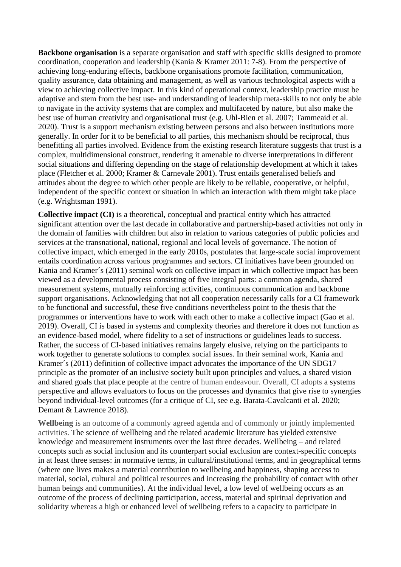**Backbone organisation** is a separate organisation and staff with specific skills designed to promote coordination, cooperation and leadership (Kania & Kramer 2011: 7-8). From the perspective of achieving long-enduring effects, backbone organisations promote facilitation, communication, quality assurance, data obtaining and management, as well as various technological aspects with a view to achieving collective impact. In this kind of operational context, leadership practice must be adaptive and stem from the best use- and understanding of leadership meta-skills to not only be able to navigate in the activity systems that are complex and multifaceted by nature, but also make the best use of human creativity and organisational trust (e.g. Uhl-Bien et al. 2007; Tammeaid et al. 2020). Trust is a support mechanism existing between persons and also between institutions more generally. In order for it to be beneficial to all parties, this mechanism should be reciprocal, thus benefitting all parties involved. Evidence from the existing research literature suggests that trust is a complex, multidimensional construct, rendering it amenable to diverse interpretations in different social situations and differing depending on the stage of relationship development at which it takes place (Fletcher et al. 2000; Kramer & Carnevale 2001). Trust entails generalised beliefs and attitudes about the degree to which other people are likely to be reliable, cooperative, or helpful, independent of the specific context or situation in which an interaction with them might take place (e.g. Wrightsman 1991).

**Collective impact (CI)** is a theoretical, conceptual and practical entity which has attracted significant attention over the last decade in collaborative and partnership-based activities not only in the domain of families with children but also in relation to various categories of public policies and services at the transnational, national, regional and local levels of governance. The notion of collective impact, which emerged in the early 2010s, postulates that large-scale social improvement entails coordination across various programmes and sectors. CI initiatives have been grounded on Kania and Kramer´s (2011) seminal work on collective impact in which collective impact has been viewed as a developmental process consisting of five integral parts: a common agenda, shared measurement systems, mutually reinforcing activities, continuous communication and backbone support organisations. Acknowledging that not all cooperation necessarily calls for a CI framework to be functional and successful, these five conditions nevertheless point to the thesis that the programmes or interventions have to work with each other to make a collective impact (Gao et al. 2019). Overall, CI is based in systems and complexity theories and therefore it does not function as an evidence-based model, where fidelity to a set of instructions or guidelines leads to success. Rather, the success of CI-based initiatives remains largely elusive, relying on the participants to work together to generate solutions to complex social issues. In their seminal work, Kania and Kramer´s (2011) definition of collective impact advocates the importance of the UN SDG17 principle as the promoter of an inclusive society built upon principles and values, a shared vision and shared goals that place people at the centre of human endeavour. Overall, CI adopts a systems perspective and allows evaluators to focus on the processes and dynamics that give rise to synergies beyond individual-level outcomes (for a critique of CI, see e.g. Barata-Cavalcanti et al. 2020; Demant & Lawrence 2018).

**Wellbeing** is an outcome of a commonly agreed agenda and of commonly or jointly implemented activities. The science of wellbeing and the related academic literature has yielded extensive knowledge and measurement instruments over the last three decades. Wellbeing – and related concepts such as social inclusion and its counterpart social exclusion are context-specific concepts in at least three senses: in normative terms, in cultural/institutional terms, and in geographical terms (where one lives makes a material contribution to wellbeing and happiness, shaping access to material, social, cultural and political resources and increasing the probability of contact with other human beings and communities). At the individual level, a low level of wellbeing occurs as an outcome of the process of declining participation, access, material and spiritual deprivation and solidarity whereas a high or enhanced level of wellbeing refers to a capacity to participate in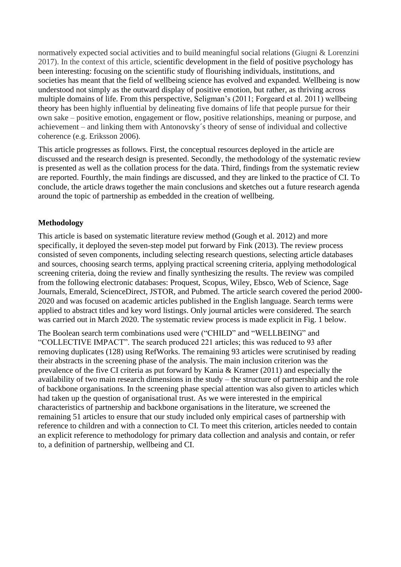normatively expected social activities and to build meaningful social relations (Giugni & Lorenzini 2017). In the context of this article, scientific development in the field of positive psychology has been interesting: focusing on the scientific study of flourishing individuals, institutions, and societies has meant that the field of wellbeing science has evolved and expanded. Wellbeing is now understood not simply as the outward display of positive emotion, but rather, as thriving across multiple domains of life. From this perspective, Seligman's (2011; Forgeard et al. 2011) wellbeing theory has been highly influential by delineating five domains of life that people pursue for their own sake – positive emotion, engagement or flow, positive relationships, meaning or purpose, and achievement – and linking them with Antonovsky´s theory of sense of individual and collective coherence (e.g. Eriksson 2006).

This article progresses as follows. First, the conceptual resources deployed in the article are discussed and the research design is presented. Secondly, the methodology of the systematic review is presented as well as the collation process for the data. Third, findings from the systematic review are reported. Fourthly, the main findings are discussed, and they are linked to the practice of CI. To conclude, the article draws together the main conclusions and sketches out a future research agenda around the topic of partnership as embedded in the creation of wellbeing.

# **Methodology**

This article is based on systematic literature review method (Gough et al. 2012) and more specifically, it deployed the seven-step model put forward by Fink (2013). The review process consisted of seven components, including selecting research questions, selecting article databases and sources, choosing search terms, applying practical screening criteria, applying methodological screening criteria, doing the review and finally synthesizing the results. The review was compiled from the following electronic databases: Proquest, Scopus, Wiley, Ebsco, Web of Science, Sage Journals, Emerald, ScienceDirect, JSTOR, and Pubmed. The article search covered the period 2000- 2020 and was focused on academic articles published in the English language. Search terms were applied to abstract titles and key word listings. Only journal articles were considered. The search was carried out in March 2020. The systematic review process is made explicit in Fig. 1 below.

The Boolean search term combinations used were ("CHILD" and "WELLBEING" and "COLLECTIVE IMPACT". The search produced 221 articles; this was reduced to 93 after removing duplicates (128) using RefWorks. The remaining 93 articles were scrutinised by reading their abstracts in the screening phase of the analysis. The main inclusion criterion was the prevalence of the five CI criteria as put forward by Kania & Kramer (2011) and especially the availability of two main research dimensions in the study – the structure of partnership and the role of backbone organisations. In the screening phase special attention was also given to articles which had taken up the question of organisational trust. As we were interested in the empirical characteristics of partnership and backbone organisations in the literature, we screened the remaining 51 articles to ensure that our study included only empirical cases of partnership with reference to children and with a connection to CI. To meet this criterion, articles needed to contain an explicit reference to methodology for primary data collection and analysis and contain, or refer to, a definition of partnership, wellbeing and CI.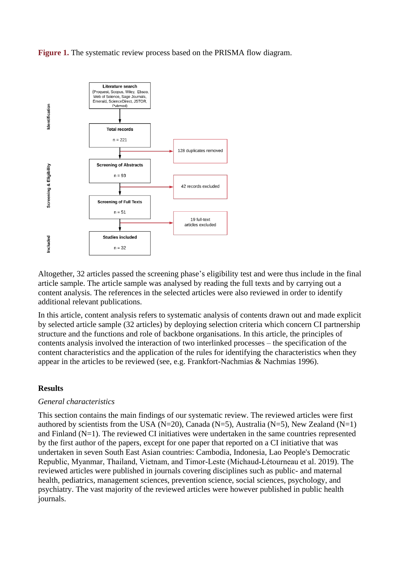**Figure 1.** The systematic review process based on the PRISMA flow diagram.



Altogether, 32 articles passed the screening phase's eligibility test and were thus include in the final article sample. The article sample was analysed by reading the full texts and by carrying out a content analysis. The references in the selected articles were also reviewed in order to identify additional relevant publications.

In this article, content analysis refers to systematic analysis of contents drawn out and made explicit by selected article sample (32 articles) by deploying selection criteria which concern CI partnership structure and the functions and role of backbone organisations. In this article, the principles of contents analysis involved the interaction of two interlinked processes – the specification of the content characteristics and the application of the rules for identifying the characteristics when they appear in the articles to be reviewed (see, e.g. Frankfort-Nachmias & Nachmias 1996).

#### **Results**

#### *General characteristics*

This section contains the main findings of our systematic review. The reviewed articles were first authored by scientists from the USA (N=20), Canada (N=5), Australia (N=5), New Zealand (N=1) and Finland (N=1). The reviewed CI initiatives were undertaken in the same countries represented by the first author of the papers, except for one paper that reported on a CI initiative that was undertaken in seven South East Asian countries: Cambodia, Indonesia, Lao People's Democratic Republic, Myanmar, Thailand, Vietnam, and Timor‐Leste (Michaud‐Létourneau et al. 2019). The reviewed articles were published in journals covering disciplines such as public- and maternal health, pediatrics, management sciences, prevention science, social sciences, psychology, and psychiatry. The vast majority of the reviewed articles were however published in public health journals.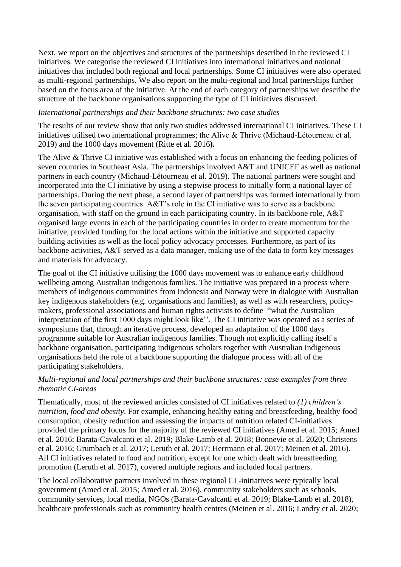Next, we report on the objectives and structures of the partnerships described in the reviewed CI initiatives. We categorise the reviewed CI initiatives into international initiatives and national initiatives that included both regional and local partnerships. Some CI initiatives were also operated as multi-regional partnerships. We also report on the multi-regional and local partnerships further based on the focus area of the initiative. At the end of each category of partnerships we describe the structure of the backbone organisations supporting the type of CI initiatives discussed.

# *International partnerships and their backbone structures: two case studies*

The results of our review show that only two studies addressed international CI initiatives. These CI initiatives utilised two international programmes; the Alive & Thrive (Michaud‐Létourneau et al. 2019) and the 1000 days movement (Ritte et al. 2016**).** 

The Alive & Thrive CI initiative was established with a focus on enhancing the feeding policies of seven countries in Southeast Asia. The partnerships involved A&T and UNICEF as well as national partners in each country (Michaud‐Létourneau et al. 2019). The national partners were sought and incorporated into the CI initiative by using a stepwise process to initially form a national layer of partnerships. During the next phase, a second layer of partnerships was formed internationally from the seven participating countries. A&T's role in the CI initiative was to serve as a backbone organisation, with staff on the ground in each participating country. In its backbone role, A&T organised large events in each of the participating countries in order to create momentum for the initiative, provided funding for the local actions within the initiative and supported capacity building activities as well as the local policy advocacy processes. Furthermore, as part of its backbone activities, A&T served as a data manager, making use of the data to form key messages and materials for advocacy.

The goal of the CI initiative utilising the 1000 days movement was to enhance early childhood wellbeing among Australian indigenous families. The initiative was prepared in a process where members of indigenous communities from Indonesia and Norway were in dialogue with Australian key indigenous stakeholders (e.g. organisations and families), as well as with researchers, policymakers, professional associations and human rights activists to define "what the Australian interpretation of the first 1000 days might look like''. The CI initiative was operated as a series of symposiums that, through an iterative process, developed an adaptation of the 1000 days programme suitable for Australian indigenous families. Though not explicitly calling itself a backbone organisation, participating indigenous scholars together with Australian Indigenous organisations held the role of a backbone supporting the dialogue process with all of the participating stakeholders.

# *Multi-regional and local partnerships and their backbone structures: case examples from three thematic CI-areas*

Thematically, most of the reviewed articles consisted of CI initiatives related to *(1) children's nutrition, food and obesity*. For example, enhancing healthy eating and breastfeeding, healthy food consumption, obesity reduction and assessing the impacts of nutrition related CI-initiatives provided the primary focus for the majority of the reviewed CI initiatives (Amed et al. 2015; Amed et al. 2016; Barata-Cavalcanti et al. 2019; Blake-Lamb et al. 2018; Bonnevie et al. 2020; Christens et al. 2016; Grumbach et al. 2017; Leruth et al. 2017; Herrmann et al. 2017; Meinen et al. 2016). All CI initiatives related to food and nutrition, except for one which dealt with breastfeeding promotion (Leruth et al. 2017), covered multiple regions and included local partners.

The local collaborative partners involved in these regional CI -initiatives were typically local government (Amed et al. 2015; Amed et al. 2016), community stakeholders such as schools, community services, local media, NGOs (Barata-Cavalcanti et al. 2019; Blake-Lamb et al. 2018), healthcare professionals such as community health centres (Meinen et al. 2016; Landry et al. 2020;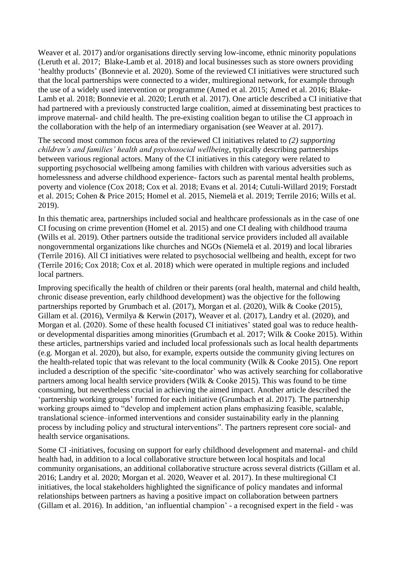Weaver et al. 2017) and/or organisations directly serving low-income, ethnic minority populations (Leruth et al. 2017; Blake-Lamb et al. 2018) and local businesses such as store owners providing 'healthy products' (Bonnevie et al. 2020). Some of the reviewed CI initiatives were structured such that the local partnerships were connected to a wider, multiregional network, for example through the use of a widely used intervention or programme (Amed et al. 2015; Amed et al. 2016; Blake-Lamb et al. 2018; Bonnevie et al. 2020; Leruth et al. 2017). One article described a CI initiative that had partnered with a previously constructed large coalition, aimed at disseminating best practices to improve maternal- and child health. The pre-existing coalition began to utilise the CI approach in the collaboration with the help of an intermediary organisation (see Weaver at al. 2017).

The second most common focus area of the reviewed CI initiatives related to *(2) supporting children's and families' health and psychosocial wellbeing*, typically describing partnerships between various regional actors. Many of the CI initiatives in this category were related to supporting psychosocial wellbeing among families with children with various adversities such as homelessness and adverse childhood experience- factors such as parental mental health problems, poverty and violence (Cox 2018; Cox et al. 2018; Evans et al. 2014; Cutuli-Willard 2019; Forstadt et al. 2015; Cohen & Price 2015; Homel et al. 2015, Niemelä et al. 2019; Terrile 2016; Wills et al. 2019).

In this thematic area, partnerships included social and healthcare professionals as in the case of one CI focusing on crime prevention (Homel et al. 2015) and one CI dealing with childhood trauma (Wills et al. 2019). Other partners outside the traditional service providers included all available nongovernmental organizations like churches and NGOs (Niemelä et al. 2019) and local libraries (Terrile 2016). All CI initiatives were related to psychosocial wellbeing and health, except for two (Terrile 2016; Cox 2018; Cox et al. 2018) which were operated in multiple regions and included local partners.

Improving specifically the health of children or their parents (oral health, maternal and child health, chronic disease prevention, early childhood development) was the objective for the following partnerships reported by Grumbach et al. (2017), Morgan et al. (2020), Wilk & Cooke (2015), Gillam et al. (2016), Vermilya & Kerwin (2017), Weaver et al. (2017), Landry et al. (2020), and Morgan et al. (2020). Some of these health focused CI initiatives' stated goal was to reduce healthor developmental disparities among minorities (Grumbach et al. 2017; Wilk & Cooke 2015). Within these articles, partnerships varied and included local professionals such as local health departments (e.g. Morgan et al. 2020), but also, for example, experts outside the community giving lectures on the health-related topic that was relevant to the local community (Wilk & Cooke 2015). One report included a description of the specific 'site-coordinator' who was actively searching for collaborative partners among local health service providers (Wilk & Cooke 2015). This was found to be time consuming, but nevertheless crucial in achieving the aimed impact. Another article described the 'partnership working groups' formed for each initiative (Grumbach et al. 2017). The partnership working groups aimed to "develop and implement action plans emphasizing feasible, scalable, translational science–informed interventions and consider sustainability early in the planning process by including policy and structural interventions". The partners represent core social- and health service organisations.

Some CI -initiatives, focusing on support for early childhood development and maternal- and child health had, in addition to a local collaborative structure between local hospitals and local community organisations, an additional collaborative structure across several districts (Gillam et al. 2016; Landry et al. 2020; Morgan et al. 2020, Weaver et al. 2017). In these multiregional CI initiatives, the local stakeholders highlighted the significance of policy mandates and informal relationships between partners as having a positive impact on collaboration between partners (Gillam et al. 2016). In addition, 'an influential champion' - a recognised expert in the field - was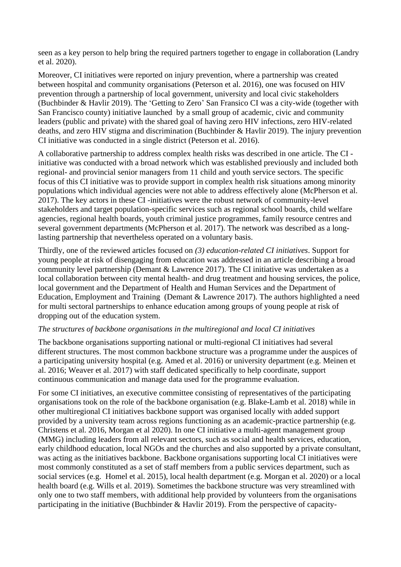seen as a key person to help bring the required partners together to engage in collaboration (Landry et al. 2020).

Moreover, CI initiatives were reported on injury prevention, where a partnership was created between hospital and community organisations (Peterson et al. 2016), one was focused on HIV prevention through a partnership of local government, university and local civic stakeholders (Buchbinder & Havlir 2019). The 'Getting to Zero' San Fransico CI was a city-wide (together with San Francisco county) initiative launched by a small group of academic, civic and community leaders (public and private) with the shared goal of having zero HIV infections, zero HIV-related deaths, and zero HIV stigma and discrimination (Buchbinder & Havlir 2019). The injury prevention CI initiative was conducted in a single district (Peterson et al. 2016).

A collaborative partnership to address complex health risks was described in one article. The CI initiative was conducted with a broad network which was established previously and included both regional- and provincial senior managers from 11 child and youth service sectors. The specific focus of this CI initiative was to provide support in complex health risk situations among minority populations which individual agencies were not able to address effectively alone (McPherson et al. 2017). The key actors in these CI -initiatives were the robust network of community-level stakeholders and target population-specific services such as regional school boards, child welfare agencies, regional health boards, youth criminal justice programmes, family resource centres and several government departments (McPherson et al. 2017). The network was described as a longlasting partnership that nevertheless operated on a voluntary basis.

Thirdly, one of the reviewed articles focused on *(3) education-related CI initiatives*. Support for young people at risk of disengaging from education was addressed in an article describing a broad community level partnership (Demant & Lawrence 2017). The CI initiative was undertaken as a local collaboration between city mental health- and drug treatment and housing services, the police, local government and the Department of Health and Human Services and the Department of Education, Employment and Training (Demant & Lawrence 2017). The authors highlighted a need for multi sectoral partnerships to enhance education among groups of young people at risk of dropping out of the education system.

# *The structures of backbone organisations in the multiregional and local CI initiatives*

The backbone organisations supporting national or multi-regional CI initiatives had several different structures. The most common backbone structure was a programme under the auspices of a participating university hospital (e.g. Amed et al. 2016) or university department (e.g. Meinen et al. 2016; Weaver et al. 2017) with staff dedicated specifically to help coordinate, support continuous communication and manage data used for the programme evaluation.

For some CI initiatives, an executive committee consisting of representatives of the participating organisations took on the role of the backbone organisation (e.g. Blake-Lamb et al. 2018) while in other multiregional CI initiatives backbone support was organised locally with added support provided by a university team across regions functioning as an academic-practice partnership (e.g. Christens et al. 2016, Morgan et al 2020). In one CI initiative a multi-agent management group (MMG) including leaders from all relevant sectors, such as social and health services, education, early childhood education, local NGOs and the churches and also supported by a private consultant, was acting as the initiatives backbone. Backbone organisations supporting local CI initiatives were most commonly constituted as a set of staff members from a public services department, such as social services (e.g. Homel et al. 2015), local health department (e.g. Morgan et al. 2020) or a local health board (e.g. Wills et al. 2019). Sometimes the backbone structure was very streamlined with only one to two staff members, with additional help provided by volunteers from the organisations participating in the initiative (Buchbinder & Havlir 2019). From the perspective of capacity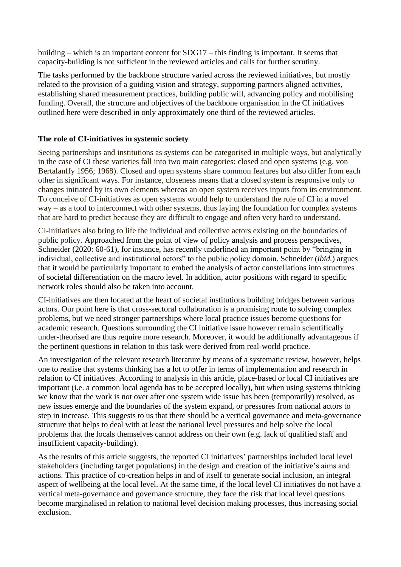building – which is an important content for SDG17 – this finding is important. It seems that capacity-building is not sufficient in the reviewed articles and calls for further scrutiny.

The tasks performed by the backbone structure varied across the reviewed initiatives, but mostly related to the provision of a guiding vision and strategy, supporting partners aligned activities, establishing shared measurement practices, building public will, advancing policy and mobilising funding. Overall, the structure and objectives of the backbone organisation in the CI initiatives outlined here were described in only approximately one third of the reviewed articles.

# **The role of CI-initiatives in systemic society**

Seeing partnerships and institutions as systems can be categorised in multiple ways, but analytically in the case of CI these varieties fall into two main categories: closed and open systems (e.g. von Bertalanffy 1956; 1968). Closed and open systems share common features but also differ from each other in significant ways. For instance, closeness means that a closed system is responsive only to changes initiated by its own elements whereas an open system receives inputs from its environment. To conceive of CI-initiatives as open systems would help to understand the role of CI in a novel way – as a tool to interconnect with other systems, thus laying the foundation for complex systems that are hard to predict because they are difficult to engage and often very hard to understand.

CI-initiatives also bring to life the individual and collective actors existing on the boundaries of public policy. Approached from the point of view of policy analysis and process perspectives, Schneider (2020: 60-61), for instance, has recently underlined an important point by "bringing in individual, collective and institutional actors" to the public policy domain. Schneider (*ibid.*) argues that it would be particularly important to embed the analysis of actor constellations into structures of societal differentiation on the macro level. In addition, actor positions with regard to specific network roles should also be taken into account.

CI-initiatives are then located at the heart of societal institutions building bridges between various actors. Our point here is that cross-sectoral collaboration is a promising route to solving complex problems, but we need stronger partnerships where local practice issues become questions for academic research. Questions surrounding the CI initiative issue however remain scientifically under-theorised are thus require more research. Moreover, it would be additionally advantageous if the pertinent questions in relation to this task were derived from real-world practice.

An investigation of the relevant research literature by means of a systematic review, however, helps one to realise that systems thinking has a lot to offer in terms of implementation and research in relation to CI initiatives. According to analysis in this article, place-based or local CI initiatives are important (i.e. a common local agenda has to be accepted locally), but when using systems thinking we know that the work is not over after one system wide issue has been (temporarily) resolved, as new issues emerge and the boundaries of the system expand, or pressures from national actors to step in increase. This suggests to us that there should be a vertical governance and meta-governance structure that helps to deal with at least the national level pressures and help solve the local problems that the locals themselves cannot address on their own (e.g. lack of qualified staff and insufficient capacity-building).

As the results of this article suggests, the reported CI initiatives' partnerships included local level stakeholders (including target populations) in the design and creation of the initiative's aims and actions. This practice of co-creation helps in and of itself to generate social inclusion, an integral aspect of wellbeing at the local level. At the same time, if the local level CI initiatives do not have a vertical meta-governance and governance structure, they face the risk that local level questions become marginalised in relation to national level decision making processes, thus increasing social exclusion.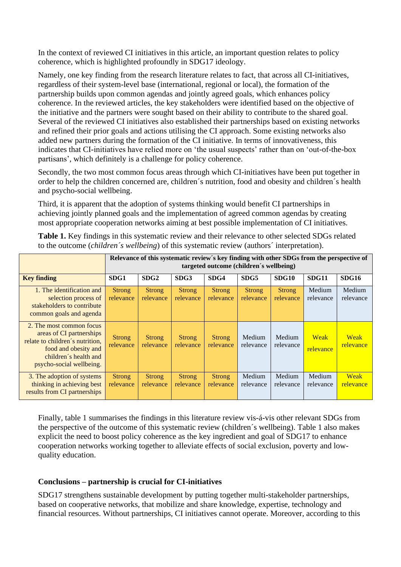In the context of reviewed CI initiatives in this article, an important question relates to policy coherence, which is highlighted profoundly in SDG17 ideology.

Namely, one key finding from the research literature relates to fact, that across all CI-initiatives, regardless of their system-level base (international, regional or local), the formation of the partnership builds upon common agendas and jointly agreed goals, which enhances policy coherence. In the reviewed articles, the key stakeholders were identified based on the objective of the initiative and the partners were sought based on their ability to contribute to the shared goal. Several of the reviewed CI initiatives also established their partnerships based on existing networks and refined their prior goals and actions utilising the CI approach. Some existing networks also added new partners during the formation of the CI initiative. In terms of innovativeness, this indicates that CI-initiatives have relied more on 'the usual suspects' rather than on 'out-of-the-box partisans', which definitely is a challenge for policy coherence.

Secondly, the two most common focus areas through which CI-initiatives have been put together in order to help the children concerned are, children´s nutrition, food and obesity and children´s health and psycho-social wellbeing.

Third, it is apparent that the adoption of systems thinking would benefit CI partnerships in achieving jointly planned goals and the implementation of agreed common agendas by creating most appropriate cooperation networks aiming at best possible implementation of CI initiatives.

| <b>Table 1.</b> Key findings in this systematic review and their relevance to other selected SDGs related |
|-----------------------------------------------------------------------------------------------------------|
| to the outcome <i>(children's wellbeing)</i> of this systematic review <i>(authors' interpretation)</i> . |

|                                                                                                                                                                      | Relevance of this systematic review's key finding with other SDGs from the perspective of<br>targeted outcome (children's wellbeing) |                            |                            |                            |                            |                            |                          |                          |
|----------------------------------------------------------------------------------------------------------------------------------------------------------------------|--------------------------------------------------------------------------------------------------------------------------------------|----------------------------|----------------------------|----------------------------|----------------------------|----------------------------|--------------------------|--------------------------|
| <b>Key finding</b>                                                                                                                                                   | SDG1                                                                                                                                 | SDG <sub>2</sub>           | SDG3                       | SDG4                       | SDG5                       | SDG10                      | SDG11                    | <b>SDG16</b>             |
| 1. The identification and<br>selection process of<br>stakeholders to contribute<br>common goals and agenda                                                           | <b>Strong</b><br>relevance                                                                                                           | <b>Strong</b><br>relevance | Strong<br>relevance        | <b>Strong</b><br>relevance | <b>Strong</b><br>relevance | <b>Strong</b><br>relevance | Medium<br>relevance      | Medium<br>relevance      |
| 2. The most common focus<br>areas of CI partnerships<br>relate to children's nutrition,<br>food and obesity and<br>children's health and<br>psycho-social wellbeing. | <b>Strong</b><br>relevance                                                                                                           | <b>Strong</b><br>relevance | <b>Strong</b><br>relevance | <b>Strong</b><br>relevance | Medium<br>relevance        | Medium<br>relevance        | <b>Weak</b><br>relevance | <b>Weak</b><br>relevance |
| 3. The adoption of systems<br>thinking in achieving best<br>results from CI partnerships                                                                             | <b>Strong</b><br>relevance                                                                                                           | <b>Strong</b><br>relevance | <b>Strong</b><br>relevance | <b>Strong</b><br>relevance | Medium<br>relevance        | Medium<br>relevance        | Medium<br>relevance      | <b>Weak</b><br>relevance |

Finally, table 1 summarises the findings in this literature review vis-á-vis other relevant SDGs from the perspective of the outcome of this systematic review (children´s wellbeing). Table 1 also makes explicit the need to boost policy coherence as the key ingredient and goal of SDG17 to enhance cooperation networks working together to alleviate effects of social exclusion, poverty and lowquality education.

# **Conclusions – partnership is crucial for CI-initiatives**

SDG17 strengthens sustainable development by putting together multi-stakeholder partnerships, based on cooperative networks, that mobilize and share knowledge, expertise, technology and financial resources. Without partnerships, CI initiatives cannot operate. Moreover, according to this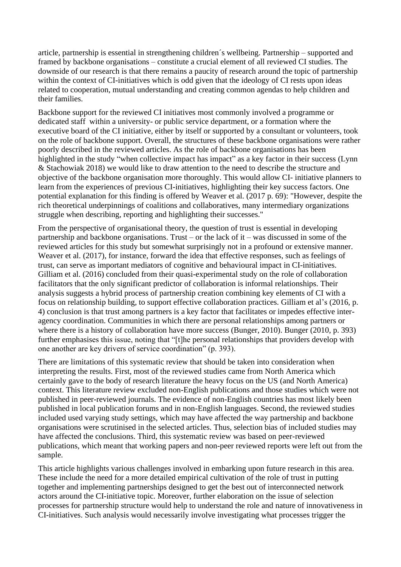article, partnership is essential in strengthening children´s wellbeing. Partnership – supported and framed by backbone organisations – constitute a crucial element of all reviewed CI studies. The downside of our research is that there remains a paucity of research around the topic of partnership within the context of CI-initiatives which is odd given that the ideology of CI rests upon ideas related to cooperation, mutual understanding and creating common agendas to help children and their families.

Backbone support for the reviewed CI initiatives most commonly involved a programme or dedicated staff within a university- or public service department, or a formation where the executive board of the CI initiative, either by itself or supported by a consultant or volunteers, took on the role of backbone support. Overall, the structures of these backbone organisations were rather poorly described in the reviewed articles. As the role of backbone organisations has been highlighted in the study "when collective impact has impact" as a key factor in their success (Lynn & Stachowiak 2018) we would like to draw attention to the need to describe the structure and objective of the backbone organisation more thoroughly. This would allow CI- initiative planners to learn from the experiences of previous CI-initiatives, highlighting their key success factors. One potential explanation for this finding is offered by Weaver et al. (2017 p. 69): "However, despite the rich theoretical underpinnings of coalitions and collaboratives, many intermediary organizations struggle when describing, reporting and highlighting their successes."

From the perspective of organisational theory, the question of trust is essential in developing partnership and backbone organisations. Trust – or the lack of it – was discussed in some of the reviewed articles for this study but somewhat surprisingly not in a profound or extensive manner. Weaver et al. (2017), for instance, forward the idea that effective responses, such as feelings of trust, can serve as important mediators of cognitive and behavioural impact in CI-initiatives. Gilliam et al. (2016) concluded from their quasi-experimental study on the role of collaboration facilitators that the only significant predictor of collaboration is informal relationships. Their analysis suggests a hybrid process of partnership creation combining key elements of CI with a focus on relationship building, to support effective collaboration practices. Gilliam et al's (2016, p. 4) conclusion is that trust among partners is a key factor that facilitates or impedes effective interagency coordination. Communities in which there are personal relationships among partners or where there is a history of collaboration have more success (Bunger, 2010). Bunger (2010, p. 393) further emphasises this issue, noting that "[t]he personal relationships that providers develop with one another are key drivers of service coordination" (p. 393).

There are limitations of this systematic review that should be taken into consideration when interpreting the results. First, most of the reviewed studies came from North America which certainly gave to the body of research literature the heavy focus on the US (and North America) context. This literature review excluded non-English publications and those studies which were not published in peer-reviewed journals. The evidence of non-English countries has most likely been published in local publication forums and in non-English languages. Second, the reviewed studies included used varying study settings, which may have affected the way partnership and backbone organisations were scrutinised in the selected articles. Thus, selection bias of included studies may have affected the conclusions. Third, this systematic review was based on peer-reviewed publications, which meant that working papers and non-peer reviewed reports were left out from the sample.

This article highlights various challenges involved in embarking upon future research in this area. These include the need for a more detailed empirical cultivation of the role of trust in putting together and implementing partnerships designed to get the best out of interconnected network actors around the CI-initiative topic. Moreover, further elaboration on the issue of selection processes for partnership structure would help to understand the role and nature of innovativeness in CI-initiatives. Such analysis would necessarily involve investigating what processes trigger the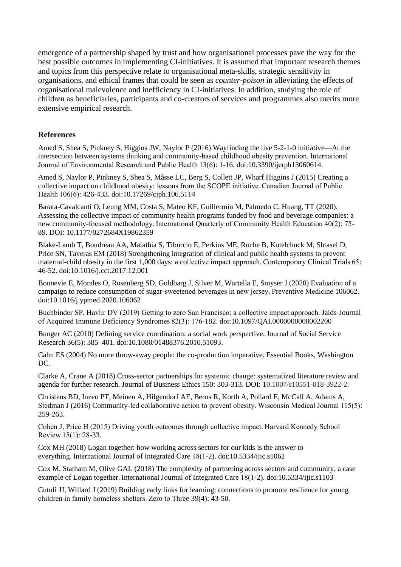emergence of a partnership shaped by trust and how organisational processes pave the way for the best possible outcomes in implementing CI-initiatives. It is assumed that important research themes and topics from this perspective relate to organisational meta-skills, strategic sensitivity in organisations, and ethical frames that could be seen as *counter-poison* in alleviating the effects of organisational malevolence and inefficiency in CI-initiatives. In addition, studying the role of children as beneficiaries, participants and co-creators of services and programmes also merits more extensive empirical research.

# **References**

Amed S, Shea S, Pinkney S, Higgins JW, Naylor P (2016) Wayfinding the live 5-2-1-0 initiative—At the intersection between systems thinking and community-based childhood obesity prevention. International Journal of Environmental Research and Public Health 13(6): 1-16. doi:10.3390/ijerph13060614.

Amed S, Naylor P, Pinkney S, Shea S, Mâsse LC, Berg S, Collett JP, Wharf Higgins J (2015) Creating a collective impact on childhood obesity: lessons from the SCOPE initiative. Canadian Journal of Public Health 106(6): 426-433. doi:10.17269/cjph.106.5114

Barata-Cavalcanti O, Leung MM, Costa S, Mateo KF, Guillermin M, Palmedo C, Huang, TT (2020). Assessing the collective impact of community health programs funded by food and beverage companies: a new community-focused methodology. International Quarterly of Community Health Education 40(2): 75- 89. DOI: 10.1177/0272684X19862359

Blake-Lamb T, Boudreau AA, Matathia S, Tiburcio E, Perkins ME, Roche B, Kotelchuck M, Shtasel D, Price SN, Taveras EM (2018) Strengthening integration of clinical and public health systems to prevent maternal-child obesity in the first 1,000 days: a collective impact approach. Contemporary Clinical Trials 65: 46-52. doi:10.1016/j.cct.2017.12.001

Bonnevie E, Morales O, Rosenberg SD, Goldbarg J, Silver M, Wartella E, Smyser J (2020) Evaluation of a campaign to reduce consumption of sugar-sweetened beverages in new jersey. Preventive Medicine 106062. doi:10.1016/j.ypmed.2020.106062

Buchbinder SP, Havlir DV (2019) Getting to zero San Francisco: a collective impact approach. Jaids-Journal of Acquired Immune Deficiency Syndromes 82(3): 176-182. doi:10.1097/QAI.0000000000002200

Bunger AC (2010) Defining service coordination: a social work perspective. Journal of Social Service Research 36(5): 385–401. doi:10.1080/01488376.2010.51093.

Cahn ES (2004) No more throw-away people: the co-production imperative. Essential Books, Washington DC.

Clarke A, Crane A (2018) Cross-sector partnerships for systemic change: systematized literature review and agenda for further research. Journal of Business Ethics 150: 303-313. DOI: 10.1007/s10551-018-3922-2.

Christens BD, Inzeo PT, Meinen A, Hilgendorf AE, Berns R, Korth A, Pollard E, McCall A, Adams A, Stedman J (2016) Community-led collaborative action to prevent obesity. Wisconsin Medical Journal 115(5): 259-263.

Cohen J, Price H (2015) Driving youth outcomes through collective impact. Harvard Kennedy School Review 15(1): 28-33.

Cox MH (2018) Logan together: how working across sectors for our kids is the answer to everything. International Journal of Integrated Care 18(1-2). doi:10.5334/ijic.s1062

Cox M, Statham M, Olive GAL (2018) The complexity of partnering across sectors and community, a case example of Logan together. International Journal of Integrated Care 18(1-2). doi:10.5334/ijic.s1103

Cutuli JJ, Willard J (2019) Building early links for learning: connections to promote resilience for young children in family homeless shelters. Zero to Three 39(4): 43-50.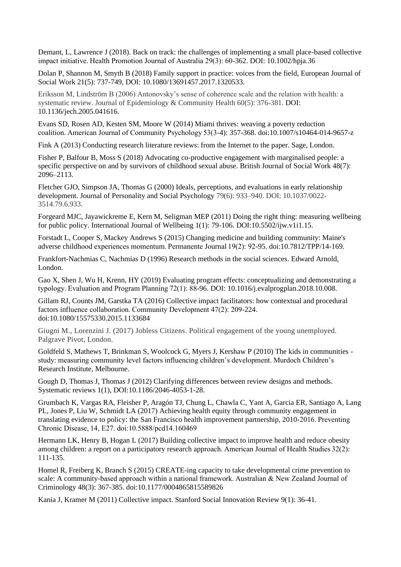Demant, L, Lawrence J (2018). Back on track: the challenges of implementing a small place-based collective impact initiative. Health Promotion Journal of Australia 29(3): 60-362. DOI: 10.1002/hpja.36

Dolan P, Shannon M, Smyth B (2018) Family support in practice: voices from the field, European Journal of Social Work 21(5): 737-749, DOI: 10.1080/13691457.2017.1320533.

Eriksson M, Lindström B (2006) Antonovsky's sense of coherence scale and the relation with health: a systematic review. Journal of Epidemiology & Community Health 60(5): 376-381. DOI: 10.1136/jech.2005.041616.

Evans SD, Rosen AD, Kesten SM, Moore W (2014) Miami thrives: weaving a poverty reduction coalition. American Journal of Community Psychology 53(3-4): 357-368. doi:10.1007/s10464-014-9657-z

Fink A (2013) Conducting research literature reviews: from the Internet to the paper. Sage, London.

Fisher P, Balfour B, Moss S (2018) Advocating co-productive engagement with marginalised people: a specific perspective on and by survivors of childhood sexual abuse. British Journal of Social Work 48(7): 2096–2113.

Fletcher GJO, Simpson JA, Thomas G (2000) Ideals, perceptions, and evaluations in early relationship development. Journal of Personality and Social Psychology 79(6): 933–940. DOI: 10.1037/0022- 3514.79.6.933.

Forgeard MJC, Jayawickreme E, Kern M, Seligman MEP (2011) Doing the right thing: measuring wellbeing for public policy. International Journal of Wellbeing 1(1): 79-106. DOI:10.5502/ijw.v1i1.15.

Forstadt L, Cooper S, Mackey Andrews S (2015) Changing medicine and building community: Maine's adverse childhood experiences momentum. Permanente Journal 19(2): 92-95. doi:10.7812/TPP/14-169.

Frankfort-Nachmias C, Nachmias D (1996) Research methods in the social sciences. Edward Arnold, London.

Gao X, Shen J, Wu H, Krenn, HY (2019) Evaluating program effects: conceptualizing and demonstrating a typology. Evaluation and Program Planning 72(1): 88-96. DOI: 10.1016/j.evalprogplan.2018.10.008.

Gillam RJ, Counts JM, Garstka TA (2016) Collective impact facilitators: how contextual and procedural factors influence collaboration. Community Development 47(2): 209-224. doi:10.1080/15575330.2015.1133684

Giugni M., Lorenzini J. (2017) Jobless Citizens. Political engagement of the young unemployed. Palgrave Pivot, London.

Goldfeld S, Mathews T, Brinkman S, Woolcock G, Myers J, Kershaw P (2010) The kids in communities study: measuring community level factors influencing children's development. Murdoch Children's Research Institute, Melbourne.

Gough D, Thomas J, Thomas J (2012) Clarifying differences between review designs and methods. Systematic reviews 1(1), DOI:10.1186/2046-4053-1-28.

Grumbach K, Vargas RA, Fleisher P, Aragón TJ, Chung L, Chawla C, Yant A, Garcia ER, Santiago A, Lang PL, Jones P, Liu W, Schmidt LA (2017) Achieving health equity through community engagement in translating evidence to policy: the San Francisco health improvement partnership, 2010-2016. Preventing Chronic Disease, 14, E27. doi:10.5888/pcd14.160469

Hermann LK, Henry B, Hogan L (2017) Building collective impact to improve health and reduce obesity among children: a report on a participatory research approach. American Journal of Health Studies 32(2): 111-135.

Homel R, Freiberg K, Branch S (2015) CREATE-ing capacity to take developmental crime prevention to scale: A community-based approach within a national framework. Australian & New Zealand Journal of Criminology 48(3): 367-385. doi:10.1177/0004865815589826

Kania J, Kramer M (2011) Collective impact. Stanford Social Innovation Review 9(1): 36-41.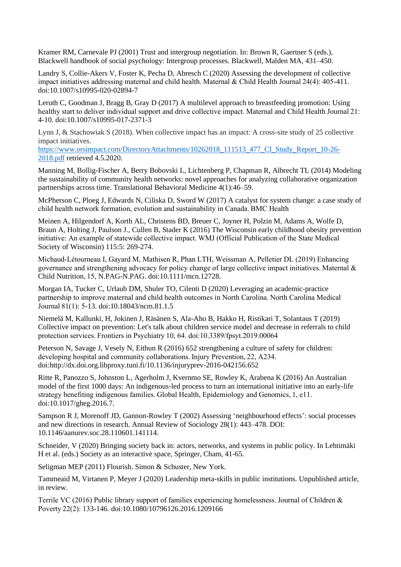Kramer RM, Carnevale PJ (2001) Trust and intergroup negotiation. In: Brown R, Gaertner S (eds.), Blackwell handbook of social psychology: Intergroup processes. Blackwell, Malden MA, 431–450.

Landry S, Collie-Akers V, Foster K, Pecha D, Abresch C (2020) Assessing the development of collective impact initiatives addressing maternal and child health. Maternal & Child Health Journal 24(4): 405-411. doi:10.1007/s10995-020-02894-7

Leruth C, Goodman J, Bragg B, Gray D (2017) A multilevel approach to breastfeeding promotion: Using healthy start to deliver individual support and drive collective impact. Maternal and Child Health Journal 21: 4-10. doi:10.1007/s10995-017-2371-3

Lynn J, & Stachowiak S (2018). When collective impact has an impact: A cross-site study of 25 collective impact initiatives.

[https://www.orsimpact.com/DirectoryAttachments/10262018\\_111513\\_477\\_CI\\_Study\\_Report\\_10-26-](https://www.orsimpact.com/DirectoryAttachments/10262018_111513_477_CI_Study_Report_10-26-2018.pdf) [2018.pdf](https://www.orsimpact.com/DirectoryAttachments/10262018_111513_477_CI_Study_Report_10-26-2018.pdf) retrieved 4.5.2020.

Manning M, Bollig-Fischer A, Berry Bobovski L, Lichtenberg P, Chapman R, Albrecht TL (2014) Modeling the sustainability of community health networks: novel approaches for analyzing collaborative organization partnerships across time. Translational Behavioral Medicine 4(1):46–59.

McPherson C, Ploeg J, Edwards N, Ciliska D, Sword W (2017) A catalyst for system change: a case study of child health network formation, evolution and sustainability in Canada. BMC Health

Meinen A, Hilgendorf A, Korth AL, Christens BD, Breuer C, Joyner H, Polzin M, Adams A, Wolfe D, Braun A, Holting J, Paulson J., Cullen B, Stader K (2016) The Wisconsin early childhood obesity prevention initiative: An example of statewide collective impact. WMJ (Official Publication of the State Medical Society of Wisconsin) 115:5: 269-274.

Michaud‐Létourneau I, Gayard M, Mathisen R, Phan LTH, Weissman A, Pelletier DL (2019) Enhancing governance and strengthening advocacy for policy change of large collective impact initiatives. Maternal & Child Nutrition, 15, N.PAG-N.PAG. doi:10.1111/mcn.12728.

Morgan IA, Tucker C, Urlaub DM, Shuler TO, Cilenti D (2020) Leveraging an academic-practice partnership to improve maternal and child health outcomes in North Carolina. North Carolina Medical Journal 81(1): 5-13. doi:10.18043/ncm.81.1.5

Niemelä M, Kallunki, H, Jokinen J, Räsänen S, Ala-Aho B, Hakko H, Ristikari T, Solantaus T (2019) Collective impact on prevention: Let's talk about children service model and decrease in referrals to child protection services. Frontiers in Psychiatry 10, 64. doi:10.3389/fpsyt.2019.00064

Peterson N, Savage J, Vesely N, Eithun R (2016) 652 strengthening a culture of safety for children: developing hospital and community collaborations. Injury Prevention, 22, A234. doi:http://dx.doi.org.libproxy.tuni.fi/10.1136/injuryprev-2016-042156.652

Ritte R, Panozzo S, Johnston L, Agerholm J, Kvernmo SE, Rowley K, Arabena K (2016) An Australian model of the first 1000 days: An indigenous-led process to turn an international initiative into an early-life strategy benefiting indigenous families. Global Health, Epidemiology and Genomics, 1, e11. doi:10.1017/gheg.2016.7.

Sampson R J, Morenoff JD, Gannon-Rowley T (2002) Assessing 'neighbourhood effects': social processes and new directions in research. Annual Review of Sociology 28(1): 443–478. DOI: 10.1146/aanurev.soc.28.110601.141114.

Schneider, V (2020) Bringing society back in: actors, networks, and systems in public policy. In Lehtimäki H et al. (eds.) Society as an interactive space, Springer, Cham, 41-65.

Seligman MEP (2011) Flourish. Simon & Schuster, New York.

Tammeaid M, Virtanen P, Meyer J (2020) Leadership meta-skills in public institutions. Unpublished article, in review.

Terrile VC (2016) Public library support of families experiencing homelessness. Journal of Children & Poverty 22(2): 133-146. doi:10.1080/10796126.2016.1209166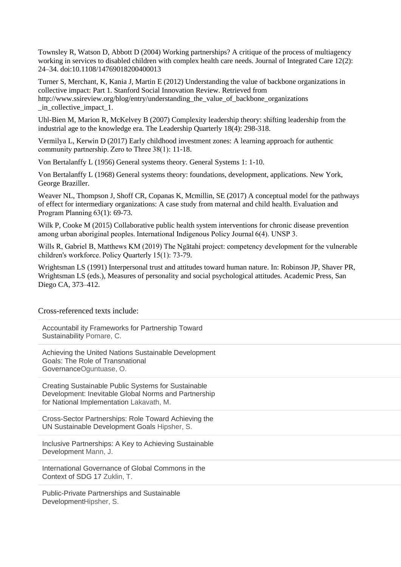Townsley R, Watson D, Abbott D (2004) Working partnerships? A critique of the process of multiagency working in services to disabled children with complex health care needs. Journal of Integrated Care 12(2): 24–34. doi:10.1108/14769018200400013

Turner S, Merchant, K, Kania J, Martin E (2012) Understanding the value of backbone organizations in collective impact: Part 1. Stanford Social Innovation Review. Retrieved from http://www.ssireview.org/blog/entry/understanding\_the\_value\_of\_backbone\_organizations \_in\_collective\_impact\_1.

Uhl-Bien M, Marion R, McKelvey B (2007) Complexity leadership theory: shifting leadership from the industrial age to the knowledge era. The Leadership Quarterly 18(4): 298-318.

Vermilya L, Kerwin D (2017) Early childhood investment zones: A learning approach for authentic community partnership. Zero to Three 38(1): 11-18.

Von Bertalanffy L (1956) General systems theory. General Systems 1: 1-10.

Von Bertalanffy L (1968) General systems theory: foundations, development, applications. New York, George Braziller.

Weaver NL, Thompson J, Shoff CR, Copanas K, Mcmillin, SE (2017) A conceptual model for the pathways of effect for intermediary organizations: A case study from maternal and child health. Evaluation and Program Planning 63(1): 69-73.

Wilk P, Cooke M (2015) Collaborative public health system interventions for chronic disease prevention among urban aboriginal peoples. International Indigenous Policy Journal 6(4). UNSP 3.

Wills R, Gabriel B, Matthews KM (2019) The Ngātahi project: competency development for the vulnerable children's workforce. Policy Quarterly 15(1): 73-79.

Wrightsman LS (1991) Interpersonal trust and attitudes toward human nature. In: Robinson JP, Shaver PR, Wrightsman LS (eds.), Measures of personality and social psychological attitudes. Academic Press, San Diego CA, 373–412.

#### Cross-referenced texts include:

Accountabil ity Frameworks for Partnership Toward Sustainability Pomare, C.

Achieving the United Nations Sustainable Development Goals: The Role of Transnational GovernanceOguntuase, O.

Creating Sustainable Public Systems for Sustainable Development: Inevitable Global Norms and Partnership for National Implementation Lakavath, M.

Cross-Sector Partnerships: Role Toward Achieving the UN Sustainable Development Goals Hipsher, S.

Inclusive Partnerships: A Key to Achieving Sustainable Development Mann, J.

International Governance of Global Commons in the Context of SDG 17 Zuklin, T.

Public-Private Partnerships and Sustainable DevelopmentHipsher, S.